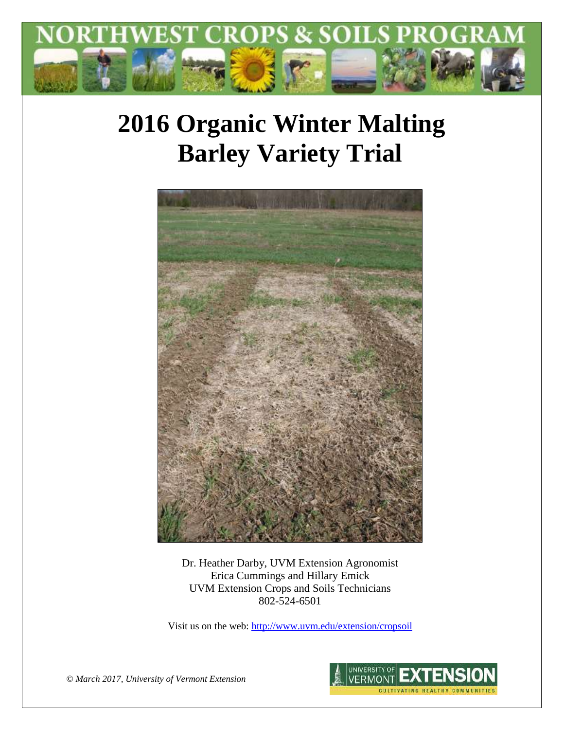

# **2016 Organic Winter Malting Barley Variety Trial**



Dr. Heather Darby, UVM Extension Agronomist Erica Cummings and Hillary Emick UVM Extension Crops and Soils Technicians 802-524-6501

Visit us on the web:<http://www.uvm.edu/extension/cropsoil>



*© March 2017, University of Vermont Extension*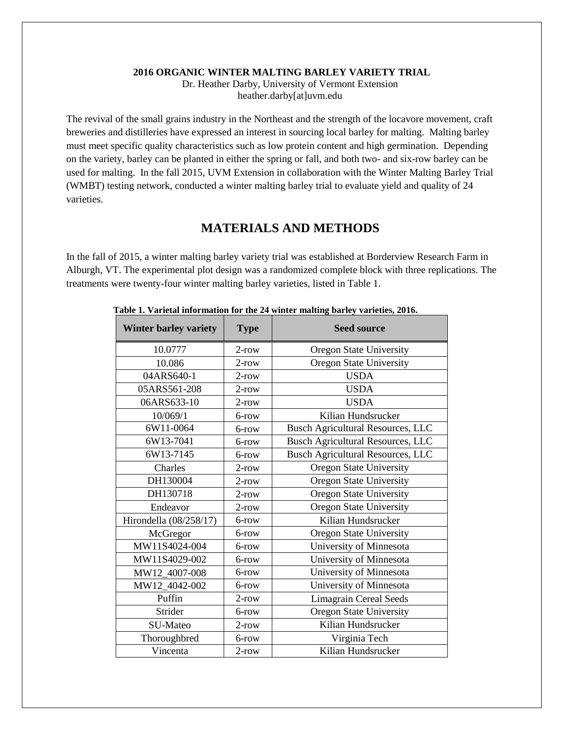#### **2016 ORGANIC WINTER MALTING BARLEY VARIETY TRIAL**

Dr. Heather Darby, University of Vermont Extension heather.darby[at]uvm.edu

The revival of the small grains industry in the Northeast and the strength of the locavore movement, craft breweries and distilleries have expressed an interest in sourcing local barley for malting. Malting barley must meet specific quality characteristics such as low protein content and high germination. Depending on the variety, barley can be planted in either the spring or fall, and both two- and six-row barley can be used for malting. In the fall 2015, UVM Extension in collaboration with the Winter Malting Barley Trial (WMBT) testing network, conducted a winter malting barley trial to evaluate yield and quality of 24 varieties.

## **MATERIALS AND METHODS**

In the fall of 2015, a winter malting barley variety trial was established at Borderview Research Farm in Alburgh, VT. The experimental plot design was a randomized complete block with three replications. The treatments were twenty-four winter malting barley varieties, listed in Table 1.

| <b>Winter barley variety</b> | <b>Type</b> | <b>Seed source</b>                       |  |  |  |  |
|------------------------------|-------------|------------------------------------------|--|--|--|--|
| 10.0777                      | $2$ -row    | Oregon State University                  |  |  |  |  |
| 10.086                       | $2$ -row    | <b>Oregon State University</b>           |  |  |  |  |
| 04ARS640-1                   | $2$ -row    | <b>USDA</b>                              |  |  |  |  |
| 05ARS561-208                 | $2$ -row    | <b>USDA</b>                              |  |  |  |  |
| 06ARS633-10                  | $2$ -row    | <b>USDA</b>                              |  |  |  |  |
| 10/069/1                     | 6-row       | Kilian Hundsrucker                       |  |  |  |  |
| 6W11-0064                    | 6-row       | <b>Busch Agricultural Resources, LLC</b> |  |  |  |  |
| 6W13-7041                    | 6-row       | <b>Busch Agricultural Resources, LLC</b> |  |  |  |  |
| 6W13-7145                    | 6-row       | <b>Busch Agricultural Resources, LLC</b> |  |  |  |  |
| Charles                      | $2$ -row    | Oregon State University                  |  |  |  |  |
| DH130004                     | $2$ -row    | <b>Oregon State University</b>           |  |  |  |  |
| DH130718                     | $2$ -row    | Oregon State University                  |  |  |  |  |
| Endeavor                     | $2$ -row    | Oregon State University                  |  |  |  |  |
| Hirondella (08/258/17)       | 6-row       | Kilian Hundsrucker                       |  |  |  |  |
| McGregor                     | 6-row       | <b>Oregon State University</b>           |  |  |  |  |
| MW11S4024-004                | 6-row       | University of Minnesota                  |  |  |  |  |
| MW11S4029-002                | 6-row       | University of Minnesota                  |  |  |  |  |
| MW12_4007-008                | 6-row       | University of Minnesota                  |  |  |  |  |
| MW12_4042-002                | 6-row       | University of Minnesota                  |  |  |  |  |
| Puffin                       | $2$ -row    | <b>Limagrain Cereal Seeds</b>            |  |  |  |  |
| Strider                      | 6-row       | Oregon State University                  |  |  |  |  |
| SU-Mateo                     | $2$ -row    | Kilian Hundsrucker                       |  |  |  |  |
| Thoroughbred                 | 6-row       | Virginia Tech                            |  |  |  |  |
| Vincenta                     | $2$ -row    | Kilian Hundsrucker                       |  |  |  |  |

 **Table 1. Varietal information for the 24 winter malting barley varieties, 2016.**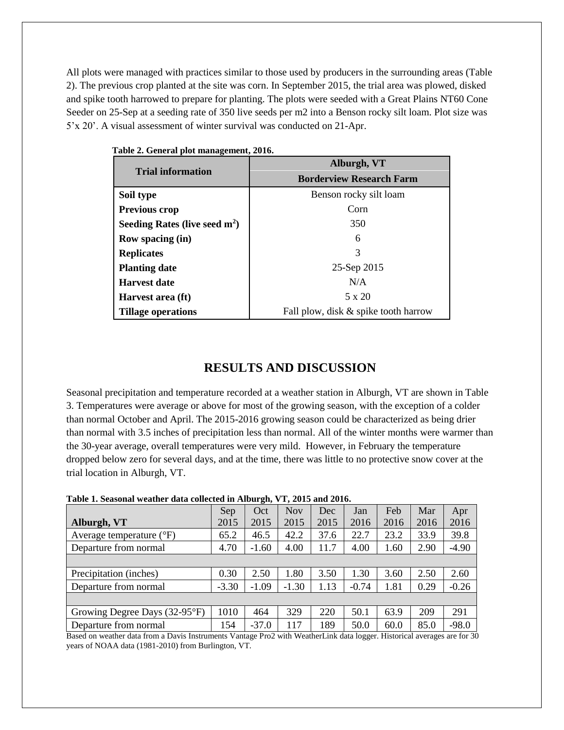All plots were managed with practices similar to those used by producers in the surrounding areas (Table 2). The previous crop planted at the site was corn. In September 2015, the trial area was plowed, disked and spike tooth harrowed to prepare for planting. The plots were seeded with a Great Plains NT60 Cone Seeder on 25-Sep at a seeding rate of 350 live seeds per m2 into a Benson rocky silt loam. Plot size was 5'x 20'. A visual assessment of winter survival was conducted on 21-Apr.

|                                 | Alburgh, VT<br><b>Borderview Research Farm</b> |  |  |  |  |  |
|---------------------------------|------------------------------------------------|--|--|--|--|--|
| <b>Trial information</b>        |                                                |  |  |  |  |  |
| Soil type                       | Benson rocky silt loam                         |  |  |  |  |  |
| <b>Previous crop</b>            | Corn                                           |  |  |  |  |  |
| Seeding Rates (live seed $m2$ ) | 350                                            |  |  |  |  |  |
| <b>Row spacing (in)</b>         | 6                                              |  |  |  |  |  |
| <b>Replicates</b>               | 3                                              |  |  |  |  |  |
| <b>Planting date</b>            | 25-Sep 2015                                    |  |  |  |  |  |
| <b>Harvest date</b>             | N/A                                            |  |  |  |  |  |
| Harvest area (ft)               | 5 x 20                                         |  |  |  |  |  |
| <b>Tillage operations</b>       | Fall plow, disk & spike tooth harrow           |  |  |  |  |  |

**Table 2. General plot management, 2016.**

## **RESULTS AND DISCUSSION**

Seasonal precipitation and temperature recorded at a weather station in Alburgh, VT are shown in Table 3. Temperatures were average or above for most of the growing season, with the exception of a colder than normal October and April. The 2015-2016 growing season could be characterized as being drier than normal with 3.5 inches of precipitation less than normal. All of the winter months were warmer than the 30-year average, overall temperatures were very mild. However, in February the temperature dropped below zero for several days, and at the time, there was little to no protective snow cover at the trial location in Alburgh, VT.

| Tubic II Deubonal weather uata concetta in Anourgin y 1, 2010 and 2010.                              |         |         |            |      |         |      |      |         |  |
|------------------------------------------------------------------------------------------------------|---------|---------|------------|------|---------|------|------|---------|--|
|                                                                                                      | Sep     | Oct     | <b>Nov</b> | Dec  | Jan     | Feb  | Mar  | Apr     |  |
| Alburgh, VT                                                                                          | 2015    | 2015    | 2015       | 2015 | 2016    | 2016 | 2016 | 2016    |  |
| Average temperature $({}^{\circ}F)$                                                                  | 65.2    | 46.5    | 42.2       | 37.6 | 22.7    | 23.2 | 33.9 | 39.8    |  |
| Departure from normal                                                                                | 4.70    | $-1.60$ | 4.00       | 11.7 | 4.00    | 1.60 | 2.90 | $-4.90$ |  |
|                                                                                                      |         |         |            |      |         |      |      |         |  |
| Precipitation (inches)                                                                               | 0.30    | 2.50    | 1.80       | 3.50 | 1.30    | 3.60 | 2.50 | 2.60    |  |
| Departure from normal                                                                                | $-3.30$ | $-1.09$ | $-1.30$    | 1.13 | $-0.74$ | 1.81 | 0.29 | $-0.26$ |  |
|                                                                                                      |         |         |            |      |         |      |      |         |  |
| Growing Degree Days (32-95°F)                                                                        | 1010    | 464     | 329        | 220  | 50.1    | 63.9 | 209  | 291     |  |
| Departure from normal                                                                                | 154     | $-37.0$ | 117        | 189  | 50.0    | 60.0 | 85.0 | $-98.0$ |  |
| $\mathbf{C}$ and $\mathbf{C}$ . The state $\mathbf{C}$ and $\mathbf{C}$ is the state of $\mathbf{C}$ |         |         |            |      |         |      |      |         |  |

#### **Table 1. Seasonal weather data collected in Alburgh, VT, 2015 and 2016.**

Based on weather data from a Davis Instruments Vantage Pro2 with WeatherLink data logger. Historical averages are for 30 years of NOAA data (1981-2010) from Burlington, VT.